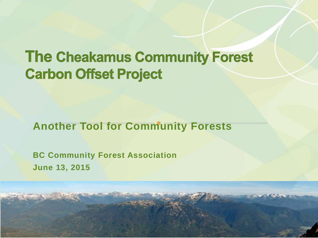#### **The Cheakamus Community Forest Carbon Offset Project**

#### **Another Tool for Community Forests**

**BC Community Forest Association June 13, 2015**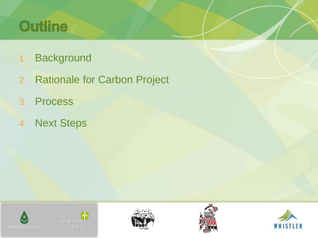#### Outline

- 1. Background
- 2. Rationale for Carbon Project
- 3. Process
- 4. Next Steps









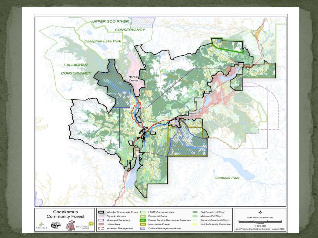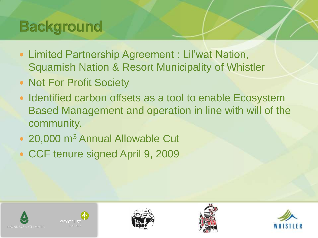## **Background**

- Limited Partnership Agreement : Lil'wat Nation, Squamish Nation & Resort Municipality of Whistler
- Not For Profit Society
- Identified carbon offsets as a tool to enable Ecosystem Based Management and operation in line with will of the community.
- 20,000 m<sup>3</sup> Annual Allowable Cut
- CCF tenure signed April 9, 2009









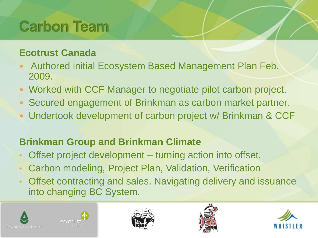## **Carbon Team**

#### **Ecotrust Canada**

- Authored initial Ecosystem Based Management Plan Feb. 2009.
- Worked with CCF Manager to negotiate pilot carbon project.
- Secured engagement of Brinkman as carbon market partner.
- Undertook development of carbon project w/ Brinkman & CCF

#### **Brinkman Group and Brinkman Climate**

- Offset project development turning action into offset.
- Carbon modeling, Project Plan, Validation, Verification
- Offset contracting and sales. Navigating delivery and issuance into changing BC System.









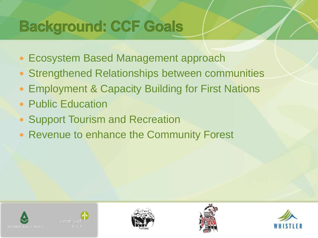## **Background: CCF Goals**

- Ecosystem Based Management approach
- Strengthened Relationships between communities
- **Employment & Capacity Building for First Nations**
- Public Education
- Support Tourism and Recreation
- Revenue to enhance the Community Forest









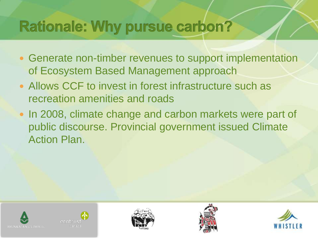#### **Rationale: Why pursue carbon?**

- Generate non-timber revenues to support implementation of Ecosystem Based Management approach
- Allows CCF to invest in forest infrastructure such as recreation amenities and roads
- In 2008, climate change and carbon markets were part of public discourse. Provincial government issued Climate Action Plan.









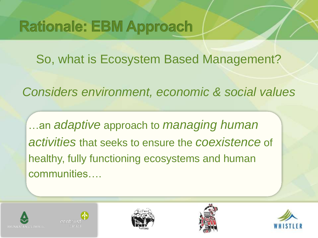## **Rationale: EBM Approach**

So, what is Ecosystem Based Management?

*Considers environment, economic & social values*

…an *adaptive* approach to *managing human activities* that seeks to ensure the *coexistence* of healthy, fully functioning ecosystems and human communities….









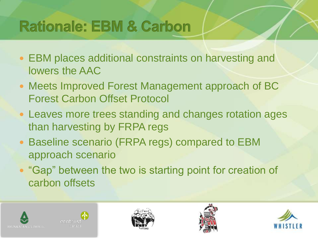## **Rationale: EBM & Carbon**

- EBM places additional constraints on harvesting and lowers the AAC
- Meets Improved Forest Management approach of BC Forest Carbon Offset Protocol
- Leaves more trees standing and changes rotation ages than harvesting by FRPA regs
- Baseline scenario (FRPA regs) compared to EBM approach scenario
- "Gap" between the two is starting point for creation of carbon offsets









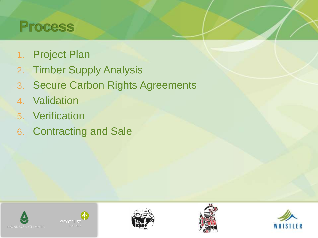#### **Process**

- 1. Project Plan
- 2. Timber Supply Analysis
- 3. Secure Carbon Rights Agreements
- 4. Validation
- 5. Verification
- 6. Contracting and Sale









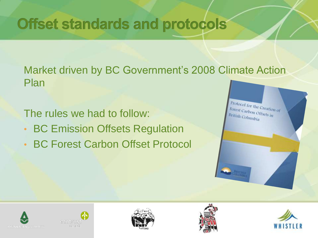## **Offset standards and protocols**

Market driven by BC Government's 2008 Climate Action Plan

The rules we had to follow:

- BC Emission Offsets Regulation
- BC Forest Carbon Offset Protocol











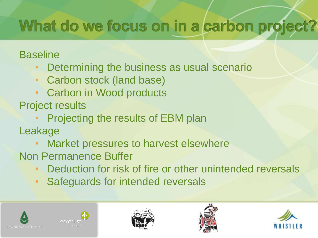# What do we focus on in a carbon project?

#### **Baseline**

- Determining the business as usual scenario
- Carbon stock (land base)
- Carbon in Wood products

Project results

• Projecting the results of EBM plan

Leakage

- Market pressures to harvest elsewhere
- Non Permanence Buffer
	- Deduction for risk of fire or other unintended reversals
	- Safeguards for intended reversals









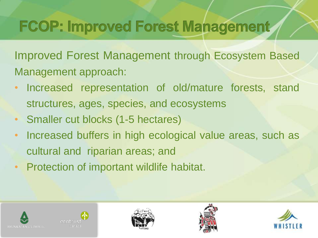## **FCOP: Improved Forest Management**

Improved Forest Management through Ecosystem Based Management approach:

- Increased representation of old/mature forests, stand structures, ages, species, and ecosystems
- Smaller cut blocks (1-5 hectares)
- Increased buffers in high ecological value areas, such as cultural and riparian areas; and
- Protection of important wildlife habitat.









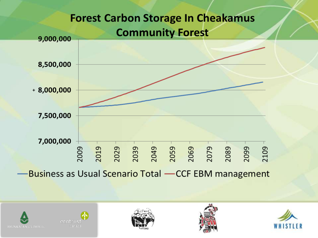









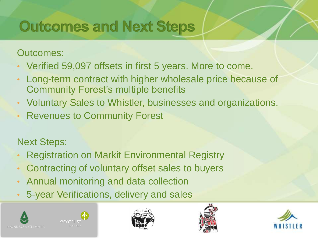## **Outcomes and Next Steps**

Outcomes:

- Verified 59,097 offsets in first 5 years. More to come.
- Long-term contract with higher wholesale price because of Community Forest's multiple benefits
- Voluntary Sales to Whistler, businesses and organizations.
- **Revenues to Community Forest**

Next Steps:

- Registration on Markit Environmental Registry
- Contracting of voluntary offset sales to buyers
- Annual monitoring and data collection
- 5-year Verifications, delivery and sales









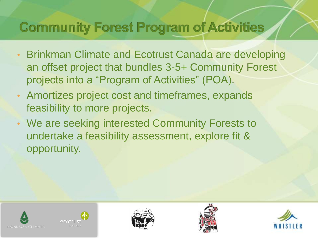#### **Community Forest Program of Activities**

- Brinkman Climate and Ecotrust Canada are developing an offset project that bundles 3-5+ Community Forest projects into a "Program of Activities" (POA).
- Amortizes project cost and timeframes, expands feasibility to more projects.
- We are seeking interested Community Forests to undertake a feasibility assessment, explore fit & opportunity.









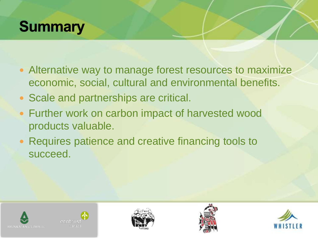#### **Summary**

- Alternative way to manage forest resources to maximize economic, social, cultural and environmental benefits.
- Scale and partnerships are critical.
- Further work on carbon impact of harvested wood products valuable.
- Requires patience and creative financing tools to succeed.